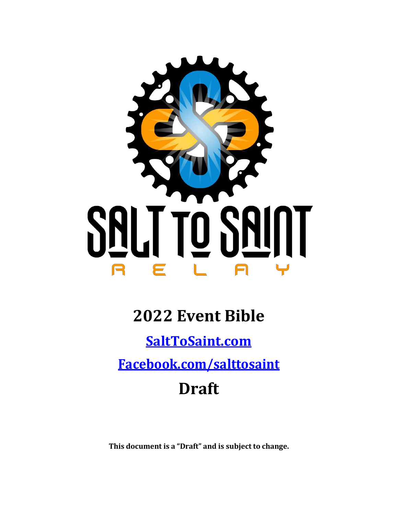

# **2022 Event Bible**

# **[SaltToSaint.com](http://salttosaint.com/)**

**[Facebook.com/salttosaint](http://www.facebook.com/salttosaint)**

# **Draft**

**This document is a "Draft" and is subject to change.**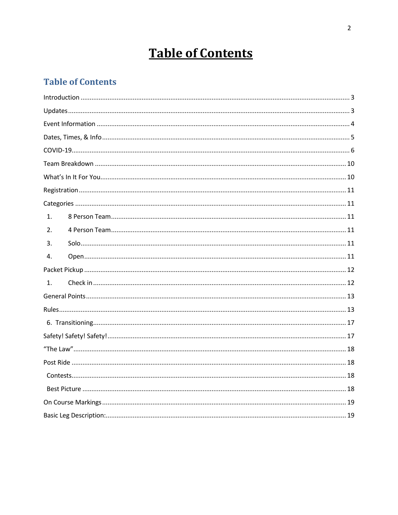## **Table of Contents**

#### **Table of Contents**

| 1.             |
|----------------|
| 2.             |
| 3.             |
| $\mathbf{4}$   |
|                |
| 1 <sup>1</sup> |
|                |
|                |
|                |
|                |
|                |
|                |
|                |
|                |
|                |
|                |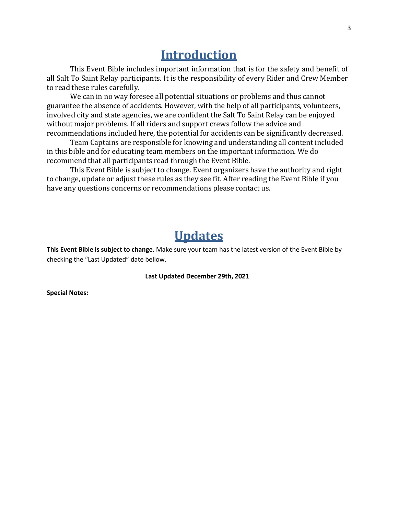### **Introduction**

<span id="page-2-0"></span>This Event Bible includes important information that is for the safety and benefit of all Salt To Saint Relay participants. It is the responsibility of every Rider and Crew Member to read these rules carefully.

We can in no way foresee all potential situations or problems and thus cannot guarantee the absence of accidents. However, with the help of all participants, volunteers, involved city and state agencies, we are confident the Salt To Saint Relay can be enjoyed without major problems. If all riders and support crews follow the advice and recommendations included here, the potential for accidents can be significantly decreased.

Team Captains are responsible for knowing and understanding all content included in this bible and for educating team members on the important information. We do recommend that all participants read through the Event Bible.

This Event Bible is subject to change. Event organizers have the authority and right to change, update or adjust these rules as they see fit. After reading the Event Bible if you have any questions concerns or recommendations please contact us.

### **Updates**

<span id="page-2-1"></span>**This Event Bible is subject to change.** Make sure your team has the latest version of the Event Bible by checking the "Last Updated" date bellow.

#### **Last Updated December 29th, 2021**

**Special Notes:**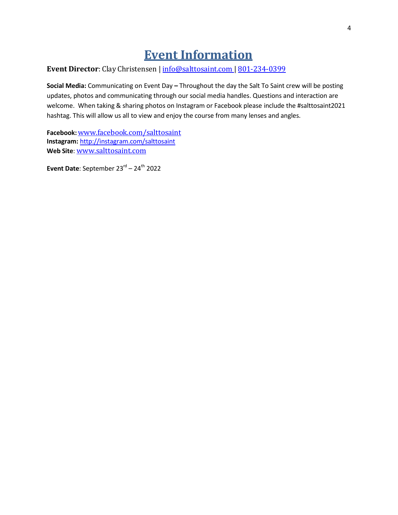### **Event Information**

#### <span id="page-3-0"></span>**Event Director**: Clay Christensen | [info@salttosaint.com](mailto:info@salttosaint.com) | 801-234-0399

**Social Media:** Communicating on Event Day **–** Throughout the day the Salt To Saint crew will be posting updates, photos and communicating through our social media handles. Questions and interaction are welcome. When taking & sharing photos on Instagram or Facebook please include the #salttosaint2021 hashtag. This will allow us all to view and enjoy the course from many lenses and angles.

**Facebook:**[www.facebook.com/salttosaint](http://www.facebook.com/salttosaint) **Instagram:** <http://instagram.com/salttosaint> **Web Site**: [www.salttosaint.com](http://www.salttosaint.com/)

**Event Date**: September 23<sup>rd</sup> – 24<sup>th</sup> 2022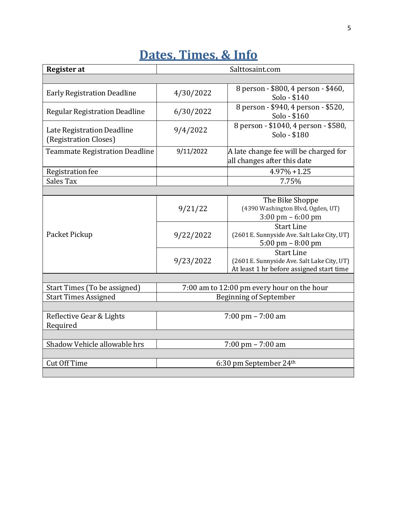## **Dates, Times, & Info**

<span id="page-4-0"></span>

| <b>Register</b> at                                  | Salttosaint.com                            |                                                                                                              |  |
|-----------------------------------------------------|--------------------------------------------|--------------------------------------------------------------------------------------------------------------|--|
|                                                     |                                            |                                                                                                              |  |
| <b>Early Registration Deadline</b>                  | 4/30/2022                                  | 8 person - \$800, 4 person - \$460,<br>Solo - \$140                                                          |  |
| <b>Regular Registration Deadline</b>                | 6/30/2022                                  | 8 person - \$940, 4 person - \$520,<br>Solo - \$160                                                          |  |
| Late Registration Deadline<br>(Registration Closes) | 9/4/2022                                   | 8 person - \$1040, 4 person - \$580,<br>Solo - \$180                                                         |  |
| <b>Teammate Registration Deadline</b>               | 9/11/2022                                  | A late change fee will be charged for<br>all changes after this date                                         |  |
| Registration fee                                    |                                            | $4.97\% + 1.25$                                                                                              |  |
| Sales Tax                                           |                                            | 7.75%                                                                                                        |  |
|                                                     |                                            |                                                                                                              |  |
| Packet Pickup                                       | 9/21/22                                    | The Bike Shoppe<br>(4390 Washington Blvd, Ogden, UT)<br>$3:00 \text{ pm} - 6:00 \text{ pm}$                  |  |
|                                                     | 9/22/2022                                  | <b>Start Line</b><br>(2601 E. Sunnyside Ave. Salt Lake City, UT)<br>$5:00 \text{ pm} - 8:00 \text{ pm}$      |  |
|                                                     | 9/23/2022                                  | <b>Start Line</b><br>(2601 E. Sunnyside Ave. Salt Lake City, UT)<br>At least 1 hr before assigned start time |  |
|                                                     |                                            |                                                                                                              |  |
| Start Times (To be assigned)                        | 7:00 am to 12:00 pm every hour on the hour |                                                                                                              |  |
| <b>Start Times Assigned</b>                         | <b>Beginning of September</b>              |                                                                                                              |  |
| Reflective Gear & Lights<br>Required                | $7:00 \text{ pm} - 7:00 \text{ am}$        |                                                                                                              |  |
|                                                     |                                            |                                                                                                              |  |
| Shadow Vehicle allowable hrs                        | 7:00 pm - 7:00 am                          |                                                                                                              |  |
|                                                     |                                            |                                                                                                              |  |
| <b>Cut Off Time</b>                                 | 6:30 pm September 24th                     |                                                                                                              |  |
|                                                     |                                            |                                                                                                              |  |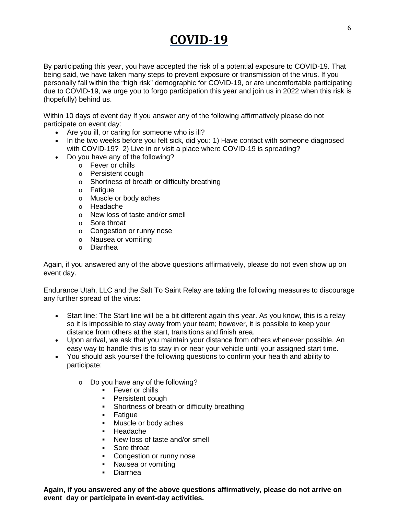### **COVID-19**

<span id="page-5-0"></span>By participating this year, you have accepted the risk of a potential exposure to COVID-19. That being said, we have taken many steps to prevent exposure or transmission of the virus. If you personally fall within the "high risk" demographic for COVID-19, or are uncomfortable participating due to COVID-19, we urge you to forgo participation this year and join us in 2022 when this risk is (hopefully) behind us.

Within 10 days of event day If you answer any of the following affirmatively please do not participate on event day:

- Are you ill, or caring for someone who is ill?
- In the two weeks before you felt sick, did you: 1) Have contact with someone diagnosed with COVID-19? 2) Live in or visit a place where COVID-19 is spreading?
- Do you have any of the following?
	- o Fever or chills
	- o Persistent cough
	- o Shortness of breath or difficulty breathing
	- o Fatigue
	- o Muscle or body aches
	- o Headache
	- o New loss of taste and/or smell
	- o Sore throat
	- o Congestion or runny nose
	- o Nausea or vomiting
	- o Diarrhea

Again, if you answered any of the above questions affirmatively, please do not even show up on event day.

Endurance Utah, LLC and the Salt To Saint Relay are taking the following measures to discourage any further spread of the virus:

- Start line: The Start line will be a bit different again this year. As you know, this is a relay so it is impossible to stay away from your team; however, it is possible to keep your distance from others at the start, transitions and finish area.
- Upon arrival, we ask that you maintain your distance from others whenever possible. An easy way to handle this is to stay in or near your vehicle until your assigned start time.
- You should ask yourself the following questions to confirm your health and ability to participate:
	- o Do you have any of the following?
		- **Fever or chills**
		- **Persistent cough**
		- Shortness of breath or difficulty breathing
		- **Fatigue**
		- **Muscle or body aches**
		- **Headache**
		- New loss of taste and/or smell
		- **Sore throat**
		- **Congestion or runny nose**
		- Nausea or vomiting
		- Diarrhea

**Again, if you answered any of the above questions affirmatively, please do not arrive on event day or participate in event-day activities.**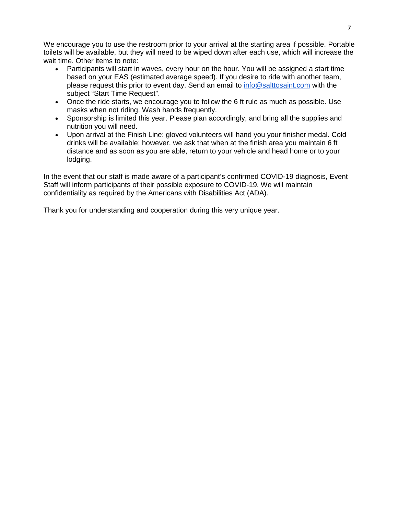We encourage you to use the restroom prior to your arrival at the starting area if possible. Portable toilets will be available, but they will need to be wiped down after each use, which will increase the wait time. Other items to note:

- Participants will start in waves, every hour on the hour. You will be assigned a start time based on your EAS (estimated average speed). If you desire to ride with another team, please request this prior to event day. Send an email to [info@salttosaint.com](mailto:info@salttosaint.com) with the subject "Start Time Request".
- Once the ride starts, we encourage you to follow the 6 ft rule as much as possible. Use masks when not riding. Wash hands frequently.
- Sponsorship is limited this year. Please plan accordingly, and bring all the supplies and nutrition you will need.
- Upon arrival at the Finish Line: gloved volunteers will hand you your finisher medal. Cold drinks will be available; however, we ask that when at the finish area you maintain 6 ft distance and as soon as you are able, return to your vehicle and head home or to your lodging.

In the event that our staff is made aware of a participant's confirmed COVID-19 diagnosis, Event Staff will inform participants of their possible exposure to COVID-19. We will maintain confidentiality as required by the Americans with Disabilities Act (ADA).

Thank you for understanding and cooperation during this very unique year.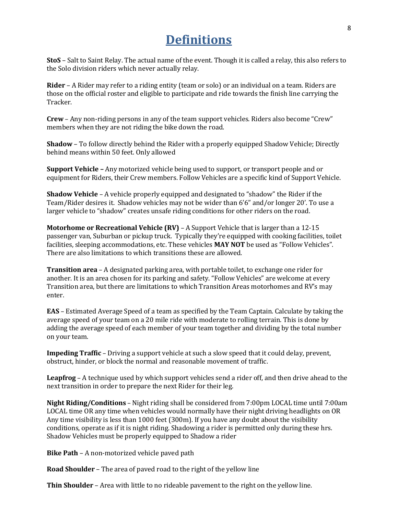### **Definitions**

**StoS** – Salt to Saint Relay. The actual name of the event. Though it is called a relay, this also refers to the Solo division riders which never actually relay.

**Rider** – A Rider may refer to a riding entity (team or solo) or an individual on a team. Riders are those on the official roster and eligible to participate and ride towards the finish line carrying the Tracker.

**Crew** – Any non-riding persons in any of the team support vehicles. Riders also become "Crew" members when they are not riding the bike down the road.

**Shadow** – To follow directly behind the Rider with a properly equipped Shadow Vehicle; Directly behind means within 50 feet. Only allowed

**Support Vehicle –** Any motorized vehicle being used to support, or transport people and or equipment for Riders, their Crew members. Follow Vehicles are a specific kind of Support Vehicle.

**Shadow Vehicle** – A vehicle properly equipped and designated to "shadow" the Rider if the Team/Rider desires it. Shadow vehicles may not be wider than 6'6" and/or longer 20'. To use a larger vehicle to "shadow" creates unsafe riding conditions for other riders on the road.

**Motorhome or Recreational Vehicle (RV)** – A Support Vehicle that is larger than a 12-15 passenger van, Suburban or pickup truck. Typically they're equipped with cooking facilities, toilet facilities, sleeping accommodations, etc. These vehicles **MAY NOT** be used as "Follow Vehicles". There are also limitations to which transitions these are allowed.

**Transition area** – A designated parking area, with portable toilet, to exchange one rider for another. It is an area chosen for its parking and safety. "Follow Vehicles" are welcome at every Transition area, but there are limitations to which Transition Areas motorhomes and RV's may enter.

**EAS** – Estimated Average Speed of a team as specified by the Team Captain. Calculate by taking the average speed of your team on a 20 mile ride with moderate to rolling terrain. This is done by adding the average speed of each member of your team together and dividing by the total number on your team.

**Impeding Traffic** – Driving a support vehicle at such a slow speed that it could delay, prevent, obstruct, hinder, or block the normal and reasonable movement of traffic.

**Leapfrog** – A technique used by which support vehicles send a rider off, and then drive ahead to the next transition in order to prepare the next Rider for their leg.

**Night Riding/Conditions** – Night riding shall be considered from 7:00pm LOCAL time until 7:00am LOCAL time OR any time when vehicles would normally have their night driving headlights on OR Any time visibility is less than 1000 feet (300m). If you have any doubt about the visibility conditions, operate as if it is night riding. Shadowing a rider is permitted only during these hrs. Shadow Vehicles must be properly equipped to Shadow a rider

**Bike Path** – A non-motorized vehicle paved path

**Road Shoulder** – The area of paved road to the right of the yellow line

**Thin Shoulder** – Area with little to no rideable pavement to the right on the yellow line.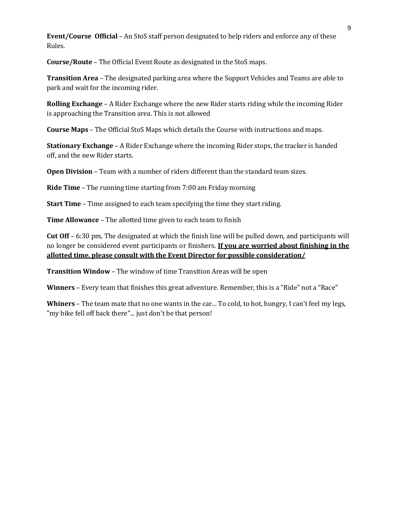**Event/Course Official** – An StoS staff person designated to help riders and enforce any of these Rules.

**Course/Route** – The Official Event Route as designated in the StoS maps.

**Transition Area** – The designated parking area where the Support Vehicles and Teams are able to park and wait for the incoming rider.

**Rolling Exchange** – A Rider Exchange where the new Rider starts riding while the incoming Rider is approaching the Transition area. This is not allowed

**Course Maps** – The Official StoS Maps which details the Course with instructions and maps.

**Stationary Exchange** – A Rider Exchange where the incoming Rider stops, the tracker is handed off, and the new Rider starts.

**Open Division** – Team with a number of riders different than the standard team sizes.

**Ride Time** – The running time starting from 7:00 am Friday morning

**Start Time** – Time assigned to each team specifying the time they start riding.

**Time Allowance** – The allotted time given to each team to finish

**Cut Off** – 6:30 pm, The designated at which the finish line will be pulled down, and participants will no longer be considered event participants or finishers. **If you are worried about finishing in the allotted time, please consult with the Event Director for possible consideration/**

**Transition Window** – The window of time Transition Areas will be open

**Winners** – Every team that finishes this great adventure. Remember, this is a "Ride" not a "Race"

**Whiners** – The team mate that no one wants in the car... To cold, to hot, hungry, I can't feel my legs, "my bike fell off back there"... just don't be that person!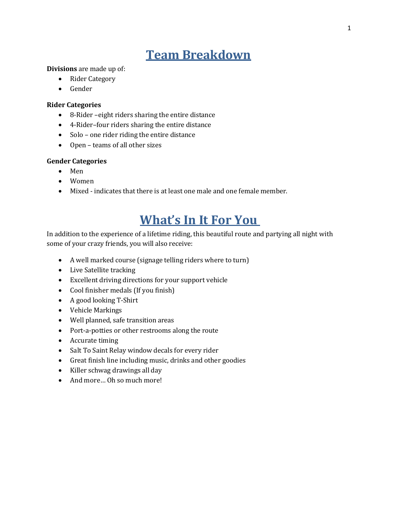### <span id="page-9-0"></span>**Team Breakdown**

#### **Divisions** are made up of:

- Rider Category
- Gender

#### **Rider Categories**

- 8-Rider –eight riders sharing the entire distance
- 4-Rider–four riders sharing the entire distance
- Solo one rider riding the entire distance
- Open teams of all other sizes

#### **Gender Categories**

- Men
- Women
- Mixed indicates that there is at least one male and one female member.

### <span id="page-9-1"></span>**What's In It For You**

In addition to the experience of a lifetime riding, this beautiful route and partying all night with some of your crazy friends, you will also receive:

- A well marked course (signage telling riders where to turn)
- Live Satellite tracking
- Excellent driving directions for your support vehicle
- Cool finisher medals (If you finish)
- A good looking T-Shirt
- Vehicle Markings
- Well planned, safe transition areas
- Port-a-potties or other restrooms along the route
- Accurate timing
- Salt To Saint Relay window decals for every rider
- Great finish line including music, drinks and other goodies
- Killer schwag drawings all day
- And more... Oh so much more!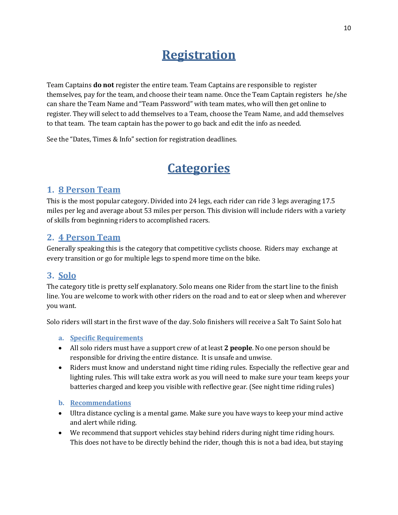### **Registration**

<span id="page-10-0"></span>Team Captains **do not** register the entire team. Team Captains are responsible to register themselves, pay for the team, and choose their team name. Once the Team Captain registers he/she can share the Team Name and "Team Password" with team mates, who will then get online to register. They will select to add themselves to a Team, choose the Team Name, and add themselves to that team. The team captain has the power to go back and edit the info as needed.

<span id="page-10-1"></span>See the "Dates, Times & Info" section for registration deadlines.

### **Categories**

#### <span id="page-10-2"></span>**1. 8 Person Team**

This is the most popular category. Divided into 24 legs, each rider can ride 3 legs averaging 17.5 miles per leg and average about 53 miles per person. This division will include riders with a variety of skills from beginning riders to accomplished racers.

#### <span id="page-10-3"></span>**2. 4 Person Team**

Generally speaking this is the category that competitive cyclists choose. Riders may exchange at every transition or go for multiple legs to spend more time on the bike.

#### <span id="page-10-4"></span>**3. Solo**

The category title is pretty self explanatory. Solo means one Rider from the start line to the finish line. You are welcome to work with other riders on the road and to eat or sleep when and wherever you want.

Solo riders will start in the first wave of the day. Solo finishers will receive a Salt To Saint Solo hat

- **a. Specific Requirements**
- All solo riders must have a support crew of at least **2 people**. No one person should be responsible for driving the entire distance. It is unsafe and unwise.
- Riders must know and understand night time riding rules. Especially the reflective gear and lighting rules. This will take extra work as you will need to make sure your team keeps your batteries charged and keep you visible with reflective gear. (See night time riding rules)

#### **b. Recommendations**

- Ultra distance cycling is a mental game. Make sure you have ways to keep your mind active and alert while riding.
- We recommend that support vehicles stay behind riders during night time riding hours. This does not have to be directly behind the rider, though this is not a bad idea, but staying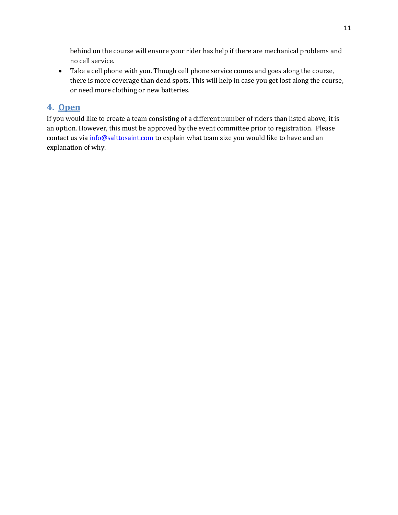behind on the course will ensure your rider has help if there are mechanical problems and no cell service.

• Take a cell phone with you. Though cell phone service comes and goes along the course, there is more coverage than dead spots. This will help in case you get lost along the course, or need more clothing or new batteries.

#### <span id="page-11-0"></span>**4. Open**

If you would like to create a team consisting of a different number of riders than listed above, it is an option. However, this must be approved by the event committee prior to registration. Please contact us via [info@salttosaint.com](mailto:info@salttosaint.com) to explain what team size you would like to have and an explanation of why.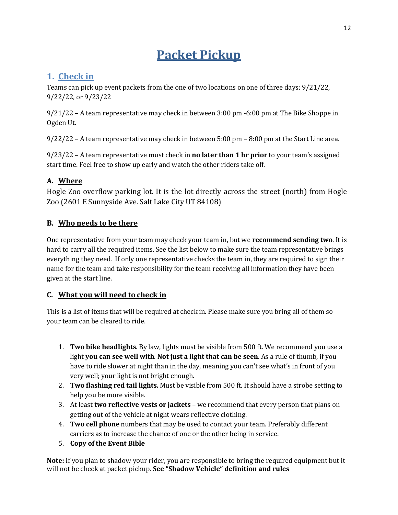### **Packet Pickup**

#### <span id="page-12-1"></span><span id="page-12-0"></span>**1. Check in**

Teams can pick up event packets from the one of two locations on one of three days: 9/21/22, 9/22/22, or 9/23/22

9/21/22 – A team representative may check in between 3:00 pm -6:00 pm at The Bike Shoppe in Ogden Ut.

9/22/22 – A team representative may check in between 5:00 pm – 8:00 pm at the Start Line area.

9/23/22 – A team representative must check in **no later than 1 hr prior** to your team's assigned start time. Feel free to show up early and watch the other riders take off.

#### **A. Where**

Hogle Zoo overflow parking lot. It is the lot directly across the street (north) from Hogle Zoo (2601 E Sunnyside Ave. Salt Lake City UT 84108)

#### **B. Who needs to be there**

One representative from your team may check your team in, but we **recommend sending two**. It is hard to carry all the required items. See the list below to make sure the team representative brings everything they need. If only one representative checks the team in, they are required to sign their name for the team and take responsibility for the team receiving all information they have been given at the start line.

#### **C. What you will need to check in**

This is a list of items that will be required at check in. Please make sure you bring all of them so your team can be cleared to ride.

- 1. **Two bike headlights**. By law, lights must be visible from 500 ft. We recommend you use a light **you can see well with**. **Not just a light that can be seen**. As a rule of thumb, if you have to ride slower at night than in the day, meaning you can't see what's in front of you very well; your light is not bright enough.
- 2. **Two flashing red tail lights.** Must be visible from 500 ft. It should have a strobe setting to help you be more visible.
- 3. At least **two reflective vests or jackets** we recommend that every person that plans on getting out of the vehicle at night wears reflective clothing.
- 4. **Two cell phone** numbers that may be used to contact your team. Preferably different carriers as to increase the chance of one or the other being in service.
- 5. **Copy of the Event Bible**

**Note:** If you plan to shadow your rider, you are responsible to bring the required equipment but it will not be check at packet pickup. **See "Shadow Vehicle" definition and rules**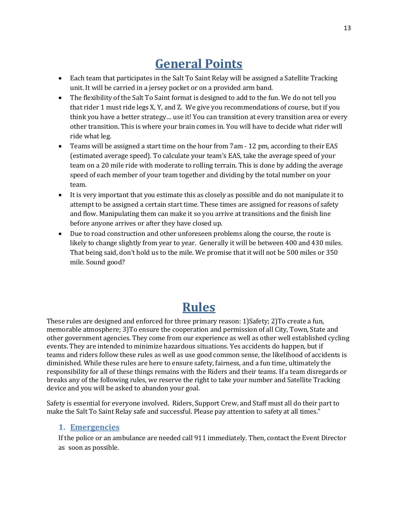### **General Points**

- <span id="page-13-0"></span>• Each team that participates in the Salt To Saint Relay will be assigned a Satellite Tracking unit. It will be carried in a jersey pocket or on a provided arm band.
- The flexibility of the Salt To Saint format is designed to add to the fun. We do not tell you that rider 1 must ride legs X, Y, and Z. We give you recommendations of course, but if you think you have a better strategy… use it! You can transition at every transition area or every other transition. This is where your brain comes in. You will have to decide what rider will ride what leg.
- Teams will be assigned a start time on the hour from 7am 12 pm, according to their EAS (estimated average speed). To calculate your team's EAS, take the average speed of your team on a 20 mile ride with moderate to rolling terrain. This is done by adding the average speed of each member of your team together and dividing by the total number on your team.
- It is very important that you estimate this as closely as possible and do not manipulate it to attempt to be assigned a certain start time. These times are assigned for reasons of safety and flow. Manipulating them can make it so you arrive at transitions and the finish line before anyone arrives or after they have closed up.
- Due to road construction and other unforeseen problems along the course, the route is likely to change slightly from year to year. Generally it will be between 400 and 430 miles. That being said, don't hold us to the mile. We promise that it will not be 500 miles or 350 mile. Sound good?

### **Rules**

<span id="page-13-1"></span>These rules are designed and enforced for three primary reason: 1)Safety; 2)To create a fun, memorable atmosphere; 3)To ensure the cooperation and permission of all City, Town, State and other government agencies. They come from our experience as well as other well established cycling events. They are intended to minimize hazardous situations. Yes accidents do happen, but if teams and riders follow these rules as well as use good common sense, the likelihood of accidents is diminished. While these rules are here to ensure safety, fairness, and a fun time, ultimately the responsibility for all of these things remains with the Riders and their teams. If a team disregards or breaks any of the following rules, we reserve the right to take your number and Satellite Tracking device and you will be asked to abandon your goal.

Safety is essential for everyone involved. Riders, Support Crew, and Staff must all do their part to make the Salt To Saint Relay safe and successful. Please pay attention to safety at all times."

#### **1. Emergencies**

If the police or an ambulance are needed call 911 immediately. Then, contact the Event Director as soon as possible.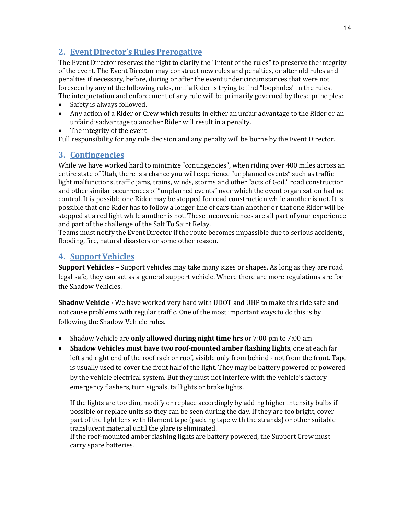#### **2. Event Director's Rules Prerogative**

The Event Director reserves the right to clarify the "intent of the rules" to preserve the integrity of the event. The Event Director may construct new rules and penalties, or alter old rules and penalties if necessary, before, during or after the event under circumstances that were not foreseen by any of the following rules, or if a Rider is trying to find "loopholes" in the rules. The interpretation and enforcement of any rule will be primarily governed by these principles:

- Safety is always followed.
- Any action of a Rider or Crew which results in either an unfair advantage to the Rider or an unfair disadvantage to another Rider will result in a penalty.
- The integrity of the event

Full responsibility for any rule decision and any penalty will be borne by the Event Director.

#### **3. Contingencies**

While we have worked hard to minimize "contingencies", when riding over 400 miles across an entire state of Utah, there is a chance you will experience "unplanned events" such as traffic light malfunctions, traffic jams, trains, winds, storms and other "acts of God," road construction and other similar occurrences of "unplanned events" over which the event organization had no control. It is possible one Rider may be stopped for road construction while another is not. It is possible that one Rider has to follow a longer line of cars than another or that one Rider will be stopped at a red light while another is not. These inconveniences are all part of your experience and part of the challenge of the Salt To Saint Relay.

Teams must notify the Event Director if the route becomes impassible due to serious accidents, flooding, fire, natural disasters or some other reason.

#### **4. SupportVehicles**

**Support Vehicles –** Support vehicles may take many sizes or shapes. As long as they are road legal safe, they can act as a general support vehicle. Where there are more regulations are for the Shadow Vehicles.

**Shadow Vehicle -** We have worked very hard with UDOT and UHP to make this ride safe and not cause problems with regular traffic. One of the most important ways to do this is by following the Shadow Vehicle rules.

- Shadow Vehicle are **only allowed during night time hrs** or 7:00 pm to 7:00 am
- **Shadow Vehicles must have two roof-mounted amber flashing lights**, one at each far left and right end of the roof rack or roof, visible only from behind - not from the front. Tape is usually used to cover the front half of the light. They may be battery powered or powered by the vehicle electrical system. But they must not interfere with the vehicle's factory emergency flashers, turn signals, taillights or brake lights.

If the lights are too dim, modify or replace accordingly by adding higher intensity bulbs if possible or replace units so they can be seen during the day. If they are too bright, cover part of the light lens with filament tape (packing tape with the strands) or other suitable translucent material until the glare is eliminated.

If the roof-mounted amber flashing lights are battery powered, the Support Crew must carry spare batteries.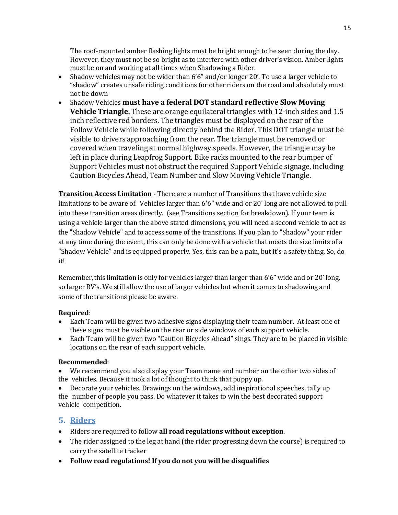The roof-mounted amber flashing lights must be bright enough to be seen during the day. However, they must not be so bright as to interfere with other driver's vision. Amber lights must be on and working at all times when Shadowing a Rider.

- Shadow vehicles may not be wider than 6'6" and/or longer 20'. To use a larger vehicle to "shadow" creates unsafe riding conditions for other riders on the road and absolutely must not be down
- Shadow Vehicles **must have a federal DOT standard reflective Slow Moving Vehicle Triangle.** These are orange equilateral triangles with 12-inch sides and 1.5 inch reflective red borders. The triangles must be displayed on the rear of the Follow Vehicle while following directly behind the Rider. This DOT triangle must be visible to drivers approaching from the rear. The triangle must be removed or covered when traveling at normal highway speeds. However, the triangle may be left in place during Leapfrog Support. Bike racks mounted to the rear bumper of Support Vehicles must not obstruct the required Support Vehicle signage, including Caution Bicycles Ahead, Team Number and Slow Moving Vehicle Triangle.

**Transition Access Limitation -** There are a number of Transitions that have vehicle size limitations to be aware of. Vehicles larger than 6'6" wide and or 20' long are not allowed to pull into these transition areas directly. (see Transitions section for breakdown). If your team is using a vehicle larger than the above stated dimensions, you will need a second vehicle to act as the "Shadow Vehicle" and to access some of the transitions. If you plan to "Shadow" your rider at any time during the event, this can only be done with a vehicle that meets the size limits of a "Shadow Vehicle" and is equipped properly. Yes, this can be a pain, but it's a safety thing. So, do it!

Remember, this limitation is only for vehicles larger than larger than  $6'6''$  wide and or 20' long, so larger RV's. We still allow the use of larger vehicles but when it comes to shadowing and some of the transitions please be aware.

#### **Required**:

- Each Team will be given two adhesive signs displaying their team number. At least one of these signs must be visible on the rear or side windows of each support vehicle.
- Each Team will be given two "Caution Bicycles Ahead" sings. They are to be placed in visible locations on the rear of each support vehicle.

#### **Recommended**:

We recommend you also display your Team name and number on the other two sides of the vehicles. Because it took a lot of thought to think that puppy up.

• Decorate your vehicles. Drawings on the windows, add inspirational speeches, tally up the number of people you pass. Do whatever it takes to win the best decorated support vehicle competition.

#### **5. Riders**

- Riders are required to follow **all road regulations without exception**.
- The rider assigned to the leg at hand (the rider progressing down the course) is required to carry the satellite tracker
- **Follow road regulations! If you do not you will be disqualifies**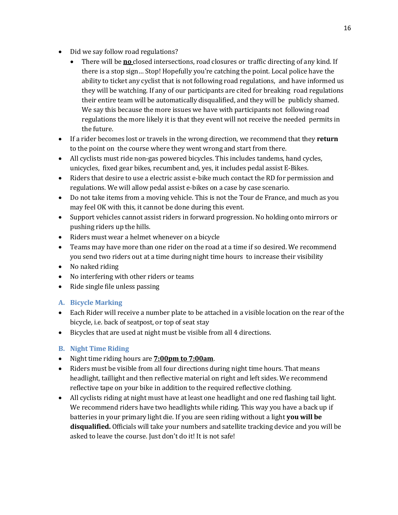- Did we say follow road regulations?
	- There will be **no** closed intersections, road closures or traffic directing of any kind. If there is a stop sign… Stop! Hopefully you're catching the point. Local police have the ability to ticket any cyclist that is not following road regulations, and have informed us they will be watching. If any of our participants are cited for breaking road regulations their entire team will be automatically disqualified, and they will be publicly shamed. We say this because the more issues we have with participants not following road regulations the more likely it is that they event will not receive the needed permits in the future.
- If a rider becomes lost or travels in the wrong direction, we recommend that they **return** to the point on the course where they went wrong and start from there.
- All cyclists must ride non-gas powered bicycles. This includes tandems, hand cycles, unicycles, fixed gear bikes, recumbent and, yes, it includes pedal assist E-Bikes.
- Riders that desire to use a electric assist e-bike much contact the RD for permission and regulations. We will allow pedal assist e-bikes on a case by case scenario.
- Do not take items from a moving vehicle. This is not the Tour de France, and much as you may feel OK with this, it cannot be done during this event.
- Support vehicles cannot assist riders in forward progression. No holding onto mirrors or pushing riders up the hills.
- Riders must wear a helmet whenever on a bicycle
- Teams may have more than one rider on the road at a time if so desired. We recommend you send two riders out at a time during night time hours to increase their visibility
- No naked riding
- No interfering with other riders or teams
- Ride single file unless passing

#### **A. Bicycle Marking**

- Each Rider will receive a number plate to be attached in a visible location on the rear of the bicycle, i.e. back of seatpost, or top of seat stay
- Bicycles that are used at night must be visible from all 4 directions.

#### **B. Night Time Riding**

- Night time riding hours are **7:00pm to 7:00am**.
- Riders must be visible from all four directions during night time hours. That means headlight, taillight and then reflective material on right and left sides. We recommend reflective tape on your bike in addition to the required reflective clothing.
- All cyclists riding at night must have at least one headlight and one red flashing tail light. We recommend riders have two headlights while riding. This way you have a back up if batteries in your primary light die. If you are seen riding without a light **you will be disqualified.** Officials will take your numbers and satellite tracking device and you will be asked to leave the course. Just don't do it! It is not safe!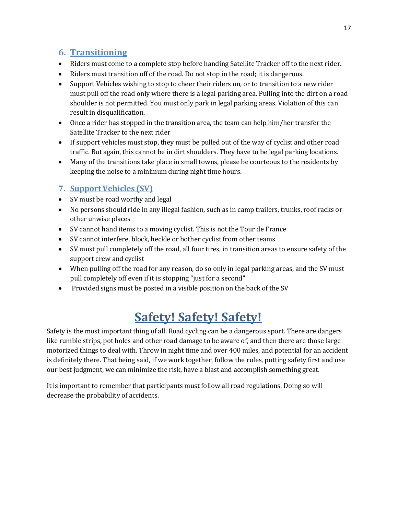#### <span id="page-17-0"></span>**6. Transitioning**

- Riders must come to a complete stop before handing Satellite Tracker off to the next rider.
- Riders must transition off of the road. Do not stop in the road; it is dangerous.
- Support Vehicles wishing to stop to cheer their riders on, or to transition to a new rider must pull off the road only where there is a legal parking area. Pulling into the dirt on a road shoulder is not permitted. You must only park in legal parking areas. Violation of this can result in disqualification.
- Once a rider has stopped in the transition area, the team can help him/her transfer the Satellite Tracker to the next rider
- If support vehicles must stop, they must be pulled out of the way of cyclist and other road traffic. But again, this cannot be in dirt shoulders. They have to be legal parking locations.
- Many of the transitions take place in small towns, please be courteous to the residents by keeping the noise to a minimum during night time hours.

#### **7. Support Vehicles (SV)**

- SV must be road worthy and legal
- No persons should ride in any illegal fashion, such as in camp trailers, trunks, roof racks or other unwise places
- SV cannot hand items to a moving cyclist. This is not the Tour de France
- SV cannot interfere, block, heckle or bother cyclist from other teams
- SV must pull completely off the road, all four tires, in transition areas to ensure safety of the support crew and cyclist
- When pulling off the road for any reason, do so only in legal parking areas, and the SV must pull completely off even if it is stopping "just for a second"
- Provided signs must be posted in a visible position on the back of the SV

### **Safety! Safety! Safety!**

<span id="page-17-1"></span>Safety is the most important thing of all. Road cycling can be a dangerous sport. There are dangers like rumble strips, pot holes and other road damage to be aware of, and then there are those large motorized things to deal with. Throw in night time and over 400 miles, and potential for an accident is definitely there. That being said, if we work together, follow the rules, putting safety first and use our best judgment, we can minimize the risk, have a blast and accomplish something great.

It is important to remember that participants must follow all road regulations. Doing so will decrease the probability of accidents.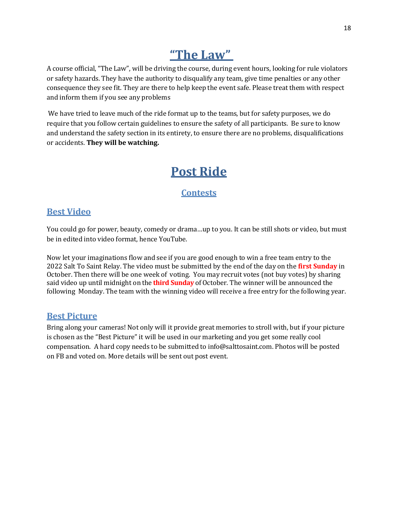### <span id="page-18-0"></span>**"The Law"**

A course official, "The Law", will be driving the course, during event hours, looking for rule violators or safety hazards. They have the authority to disqualify any team, give time penalties or any other consequence they see fit. They are there to help keep the event safe. Please treat them with respect and inform them if you see any problems

We have tried to leave much of the ride format up to the teams, but for safety purposes, we do require that you follow certain guidelines to ensure the safety of all participants. Be sure to know and understand the safety section in its entirety, to ensure there are no problems, disqualifications or accidents. **They will be watching.**

### **Post Ride**

**Contests**

#### <span id="page-18-2"></span><span id="page-18-1"></span>**Best Video**

You could go for power, beauty, comedy or drama…up to you. It can be still shots or video, but must be in edited into video format, hence YouTube.

Now let your imaginations flow and see if you are good enough to win a free team entry to the 2022 Salt To Saint Relay. The video must be submitted by the end of the day on the **first Sunday** in October. Then there will be one week of voting. You may recruit votes (not buy votes) by sharing said video up until midnight on the **third Sunday** of October. The winner will be announced the following Monday. The team with the winning video will receive a free entry for the following year.

#### <span id="page-18-3"></span>**Best Picture**

Bring along your cameras! Not only will it provide great memories to stroll with, but if your picture is chosen as the "Best Picture" it will be used in our marketing and you get some really cool compensation. A hard copy needs to be submitted to [info@salttosaint.com.](mailto:info@salttosaint.com) Photos will be posted on FB and voted on. More details will be sent out post event.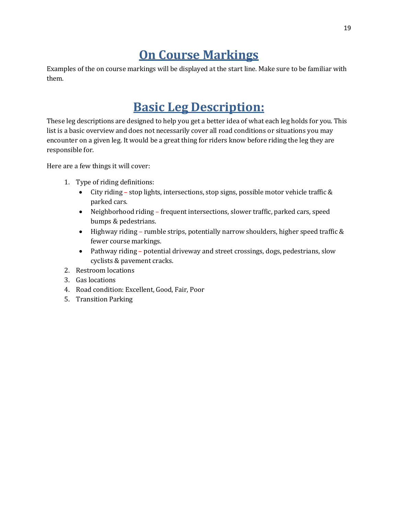### **On Course Markings**

<span id="page-19-0"></span>Examples of the on course markings will be displayed at the start line. Make sure to be familiar with them.

### **Basic Leg Description:**

<span id="page-19-1"></span>These leg descriptions are designed to help you get a better idea of what each leg holds for you. This list is a basic overview and does not necessarily cover all road conditions or situations you may encounter on a given leg. It would be a great thing for riders know before riding the leg they are responsible for.

Here are a few things it will cover:

- 1. Type of riding definitions:
	- City riding stop lights, intersections, stop signs, possible motor vehicle traffic & parked cars.
	- Neighborhood riding frequent intersections, slower traffic, parked cars, speed bumps & pedestrians.
	- Highway riding rumble strips, potentially narrow shoulders, higher speed traffic & fewer course markings.
	- Pathway riding potential driveway and street crossings, dogs, pedestrians, slow cyclists & pavement cracks.
- 2. Restroom locations
- 3. Gas locations
- 4. Road condition: Excellent, Good, Fair, Poor
- 5. Transition Parking